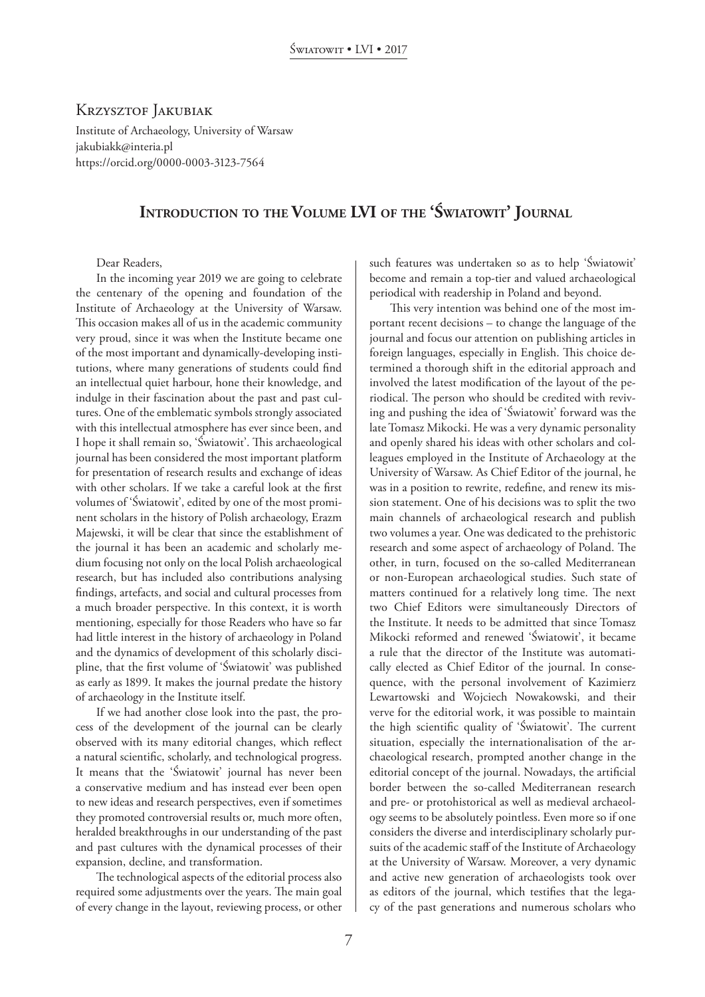Krzysztof Jakubiak Institute of Archaeology, University of Warsaw jakubiakk@interia.pl https://orcid.org/0000-0003-3123-7564

## **Introduction to the Volume LVI of the 'Światowit' Journal**

Dear Readers,

In the incoming year 2019 we are going to celebrate the centenary of the opening and foundation of the Institute of Archaeology at the University of Warsaw. This occasion makes all of us in the academic community very proud, since it was when the Institute became one of the most important and dynamically-developing institutions, where many generations of students could find an intellectual quiet harbour, hone their knowledge, and indulge in their fascination about the past and past cultures. One of the emblematic symbols strongly associated with this intellectual atmosphere has ever since been, and I hope it shall remain so, 'Światowit'. This archaeological journal has been considered the most important platform for presentation of research results and exchange of ideas with other scholars. If we take a careful look at the first volumes of 'Światowit', edited by one of the most prominent scholars in the history of Polish archaeology, Erazm Majewski, it will be clear that since the establishment of the journal it has been an academic and scholarly medium focusing not only on the local Polish archaeological research, but has included also contributions analysing findings, artefacts, and social and cultural processes from a much broader perspective. In this context, it is worth mentioning, especially for those Readers who have so far had little interest in the history of archaeology in Poland and the dynamics of development of this scholarly discipline, that the first volume of 'Światowit' was published as early as 1899. It makes the journal predate the history of archaeology in the Institute itself.

If we had another close look into the past, the process of the development of the journal can be clearly observed with its many editorial changes, which reflect a natural scientific, scholarly, and technological progress. It means that the 'Światowit' journal has never been a conservative medium and has instead ever been open to new ideas and research perspectives, even if sometimes they promoted controversial results or, much more often, heralded breakthroughs in our understanding of the past and past cultures with the dynamical processes of their expansion, decline, and transformation.

The technological aspects of the editorial process also required some adjustments over the years. The main goal of every change in the layout, reviewing process, or other such features was undertaken so as to help 'Światowit' become and remain a top-tier and valued archaeological periodical with readership in Poland and beyond.

This very intention was behind one of the most important recent decisions – to change the language of the journal and focus our attention on publishing articles in foreign languages, especially in English. This choice determined a thorough shift in the editorial approach and involved the latest modification of the layout of the periodical. The person who should be credited with reviving and pushing the idea of 'Światowit' forward was the late Tomasz Mikocki. He was a very dynamic personality and openly shared his ideas with other scholars and colleagues employed in the Institute of Archaeology at the University of Warsaw. As Chief Editor of the journal, he was in a position to rewrite, redefine, and renew its mission statement. One of his decisions was to split the two main channels of archaeological research and publish two volumes a year. One was dedicated to the prehistoric research and some aspect of archaeology of Poland. The other, in turn, focused on the so-called Mediterranean or non-European archaeological studies. Such state of matters continued for a relatively long time. The next two Chief Editors were simultaneously Directors of the Institute. It needs to be admitted that since Tomasz Mikocki reformed and renewed 'Światowit', it became a rule that the director of the Institute was automatically elected as Chief Editor of the journal. In consequence, with the personal involvement of Kazimierz Lewartowski and Wojciech Nowakowski, and their verve for the editorial work, it was possible to maintain the high scientific quality of 'Światowit'. The current situation, especially the internationalisation of the archaeological research, prompted another change in the editorial concept of the journal. Nowadays, the artificial border between the so-called Mediterranean research and pre- or protohistorical as well as medieval archaeology seems to be absolutely pointless. Even more so if one considers the diverse and interdisciplinary scholarly pursuits of the academic staff of the Institute of Archaeology at the University of Warsaw. Moreover, a very dynamic and active new generation of archaeologists took over as editors of the journal, which testifies that the legacy of the past generations and numerous scholars who